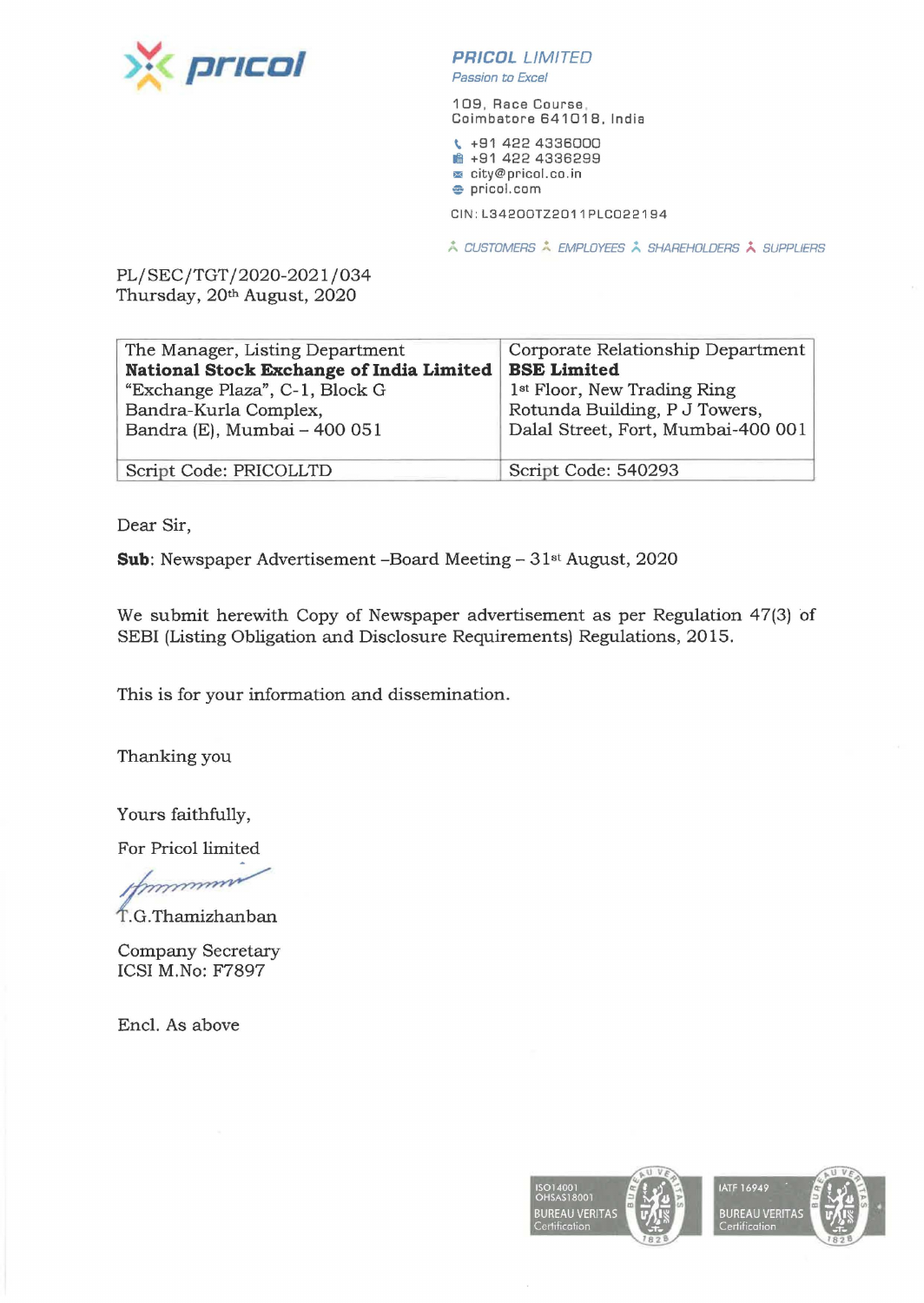

**PR/COL** LIMITED Passion *to* Excel

109, Race Course , Coimbatore 641018, India

\. +91 422 4336000 **1** +91 422 4336299 <sup>~</sup>city@pricol.co. in **e** pricol.com

CIN : L3420DTZ2011PLCD22194

**A CUSTOMERS A EMPLOYEES A SHAREHOLDERS A SUPPLIERS** 

PL/SEC/TGT /2020-2021 /034 Thursday, 20th August, 2020

| The Manager, Listing Department          | Corporate Relationship Department       |
|------------------------------------------|-----------------------------------------|
| National Stock Exchange of India Limited | <b>BSE Limited</b>                      |
| "Exchange Plaza", C-1, Block G           | 1 <sup>st</sup> Floor, New Trading Ring |
| Bandra-Kurla Complex,                    | Rotunda Building, P J Towers,           |
| Bandra (E), Mumbai - 400 051             | Dalal Street, Fort, Mumbai-400 001      |
|                                          |                                         |
| Script Code: PRICOLLTD                   | Script Code: 540293                     |

Dear Sir,

**Sub:** Newspaper Advertisement -Board Meeting- 31st August, 2020

We submit herewith Copy of Newspaper advertisement as per Regulation 47(3) of SEBI (Listing Obligation and Disclosure Requirements) Regulations, 2015.

This is for your information and dissemination.

Thanking you

Yours faithfully,

For Pricol limited

Yours faithfully,<br>For Pricol limited<br>
for Pricol limited<br>
f.G.Thamizhanban<br>
Company Secretary

ICSI M.No: F7897

Encl. As above